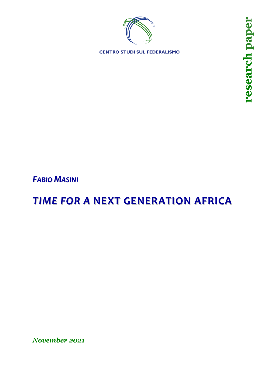

**CENTRO STUDI SUL FEDERALISMO** 

*FABIO MASINI*

# *TIME FOR A* **NEXT GENERATION AFRICA**

*November 2021*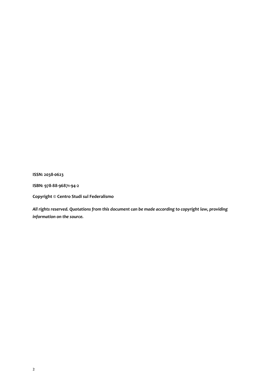**ISSN: 2038-0623**

**ISBN: 978-88-96871-94-2**

**Copyright © Centro Studi sul Federalismo**

*All rights reserved. Quotations from this document can be made according to copyright law, providing information on the source.*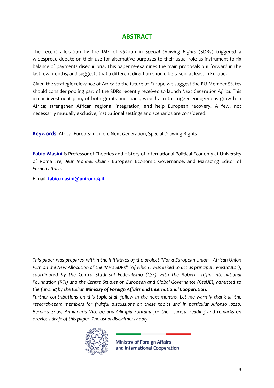## **ABSTRACT**

The recent allocation by the IMF of \$650bn in *Special Drawing Rights* (SDRs) triggered a widespread debate on their use for alternative purposes to their usual role as instrument to fix balance of payments disequilibria. This paper re-examines the main proposals put forward in the last few months, and suggests that a different direction should be taken, at least in Europe.

Given the strategic relevance of Africa to the future of Europe we suggest the EU Member States should consider pooling part of the SDRs recently received to launch *Next Generation Africa*. This major investment plan, of both grants and loans, would aim to: trigger endogenous growth in Africa; strengthen African regional integration; and help European recovery. A few, not necessarily mutually exclusive, institutional settings and scenarios are considered.

**Keywords**: Africa, European Union, Next Generation, Special Drawing Rights

**Fabio Masini** is Professor of Theories and History of International Political Economy at University of Roma Tre, *Jean Monnet Chair* - European Economic Governance, and Managing Editor of *Euractiv Italia.*

E-mail: **[fabio.masini@uniroma3.it](mailto:fabio.masini@uniroma3.it)**

This paper was prepared within the initiatives of the project "For a European Union - African Union Plan on the New Allocation of the IMF's SDRs" (of which I was asked to act as principal investigator), *coordinated by the Centro Studi sul Federalismo (CSF) with the Robert Triffin International Foundation (RTI) and the Centre Studies on European and Global Governance (CesUE), admitted to the funding by the Italian Ministry of Foreign Affairs and International Cooperation.*

*Further contributions on this topic shall follow in the next months. Let me warmly thank all the research-team members for fruitful discussions on these topics and in particular Alfonso Iozzo, Bernard Snoy, Annamaria Viterbo and Olimpia Fontana for their careful reading and remarks on previous draft of this paper. The usual disclaimers apply.*



**Ministry of Foreign Affairs** and International Cooperation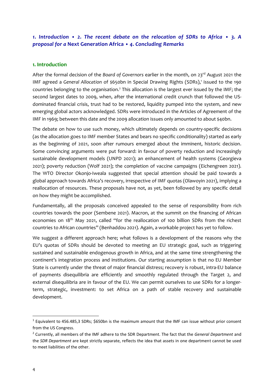## *1. Introduction* • *2. The recent debate on the relocation of SDRs to Africa* • *3. A proposal for a* **Next Generation Africa** • *4. Concluding Remarks*

#### **1. Introduction**

After the formal decision of the *Board of Governors* earlier in the month, on 23<sup>rd</sup> August 2021 the IMF agreed a General Allocation of \$650bn in Special Drawing Rights (SDRs),<sup>1</sup> issued to the 190 countries belonging to the organisation.<sup>2</sup> This allocation is the largest ever issued by the IMF; the second largest dates to 2009, when, after the international credit crunch that followed the USdominated financial crisis, trust had to be restored, liquidity pumped into the system, and new emerging global actors acknowledged. SDRs were introduced in the Articles of Agreement of the IMF in 1969; between this date and the 2009 allocation issues only amounted to about \$40bn.

The debate on how to use such money, which ultimately depends on country-specific decisions (as the allocation goes to IMF member States and bears no specific conditionality) started as early as the beginning of 2021, soon after rumours emerged about the imminent, historic decision. Some convincing arguments were put forward: in favour of poverty reduction and increasingly sustainable development models (UNPD 2021); an enhancement of health systems (Georgieva 2021); poverty reduction (Wolf 2021); the completion of vaccine campaigns (Eichengreen 2021). The WTO Director Okonjo-Iweala suggested that special attention should be paid towards a global approach towards Africa's recovery, irrespective of IMF quotas (Olawoyin 2021), implying a reallocation of resources. These proposals have not, as yet, been followed by any specific detail on how they might be accomplished.

Fundamentally, all the proposals conceived appealed to the sense of responsibility from rich countries towards the poor (Sembene 2021). Macron, at the summit on the financing of African economies on 18<sup>th</sup> May 2021, called "for the reallocation of 100 billion SDRs from the richest countries to African countries" (Benhaddou 2021). Again, a workable project has yet to follow.

We suggest a different approach here; what follows is a development of the reasons why the EU's quotas of SDRs should be devoted to meeting an EU strategic goal, such as triggering sustained and sustainable endogenous growth in Africa, and at the same time strengthening the continent's integration process and institutions. Our starting assumption is that no EU Member State is currently under the threat of major financial distress; recovery is robust, intra-EU balance of payments disequilibria are efficiently and smoothly regulated through the Target 2, and external disequilibria are in favour of the EU. We can permit ourselves to use SDRs for a longerterm, strategic, investment: to set Africa on a path of stable recovery and sustainable development.

 $1$  Equivalent to 456.485,3 SDRs; \$650bn is the maximum amount that the IMF can issue without prior consent from the US Congress.

<sup>2</sup> Currently, all members of the IMF adhere to the SDR Department. The fact that the *General Department* and the *SDR Department* are kept strictly separate, reflects the idea that assets in one department cannot be used to meet liabilities of the other.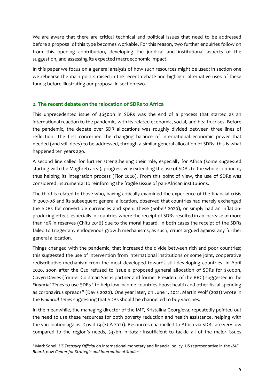We are aware that there are critical technical and political issues that need to be addressed before a proposal of this type becomes workable. For this reason, two further enquiries follow on from this opening contribution, developing the juridical and institutional aspects of the suggestion, and assessing its expected macroeconomic impact.

In this paper we focus on a general analysis of how such resources might be used; in section one we rehearse the main points raised in the recent debate and highlight alternative uses of these funds; before illustrating our proposal in section two.

#### **2. The recent debate on the relocation of SDRs to Africa**

This unprecedented issue of \$650bn in SDRs was the end of a process that started as an international reaction to the pandemic, with its related economic, social, and health crises. Before the pandemic, the debate over SDR allocations was roughly divided between three lines of reflection. The first concerned the changing balance of international economic power that needed (and still does) to be addressed, through a similar general allocation of SDRs; this is what happened ten years ago.

A second line called for further strengthening their role, especially for Africa (some suggested starting with the Maghreb area), progressively extending the use of SDRs to the whole continent, thus helping its integration process (Flor 2020). From this point of view, the use of SDRs was considered instrumental to reinforcing the fragile tissue of pan-African institutions.

The third is related to those who, having critically examined the experience of the financial crisis in 2007-08 and its subsequent general allocation, observed that countries had merely exchanged the SDRs for convertible currencies and spent these (Sobel<sup>3</sup> 2020), or simply had an inflationproducing effect, especially in countries where the receipt of SDRs resulted in an increase of more than 10% in reserves (Chitu 2016) due to the moral hazard. In both cases the receipt of the SDRs failed to trigger any endogenous growth mechanisms; as such, critics argued against any further general allocation.

Things changed with the pandemic, that increased the divide between rich and poor countries; this suggested the use of intervention from international institutions or some joint, cooperative redistributive mechanism from the most developed towards still developing countries. In April 2020, soon after the G20 refused to issue a proposed general allocation of SDRs for \$500bn, Gavyn Davies (former Goldman Sachs partner and former President of the BBC) suggested in the *Financial Times* to use SDRs "to help low-income countries boost health and other fiscal spending as coronavirus spreads" (Davis 2020). One year later, on June 1, 2021, Martin Wolf (2021) wrote in the *Financial Times* suggesting that SDRs should be channelled to buy vaccines.

In the meanwhile, the managing director of the IMF, Kristalina Georgieva, repeatedly pointed out the need to use these resources for both poverty reduction and health assistance, helping with the vaccination against Covid-19 (ECA 2021). Resources channelled to Africa via SDRs are very low compared to the region's needs, \$33bn in total: insufficient to tackle all of the major issues

<sup>3</sup> Mark Sobel: *US Treasury Official* on international monetary and financial policy, US representative in the *IMF Board*, now *Center for Strategic and International Studies*.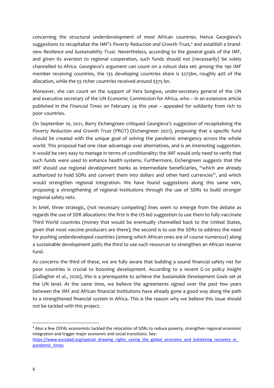concerning the structural underdevelopment of most African countries. Hence Georgieva's suggestions to recapitalize the IMF's *Poverty Reduction and Growth Trust,* <sup>4</sup> and establish a brandnew *Resilience and Sustainability Trust*. Nevertheless, according to the general goals of the IMF, and given its aversion to regional cooperation, such funds should not (necessarily) be solely channelled to Africa. Georgieva's argument can count on a robust data set: among the 190 IMF member receiving countries, the 135 developing countries share is \$275bn, roughly 40% of the allocation, while the 55 richer countries received around \$375 bn.

Moreover, she can count on the support of Vera Songwe, under-secretary general of the UN and executive secretary of the UN Economic Commission for Africa, who – in an extensive article published in the *Financial Times* on February 24 this year – appealed for solidarity from rich to poor countries.

On September 10, 2021, Barry Eichengreen critiqued Georgieva's suggestion of recapitalising the *Poverty Reduction and Growth Trust* (PRGT) (Eichengreen 2021), proposing that a specific fund should be created with the unique goal of solving the pandemic emergency across the whole world. This proposal had one clear advantage over alternatives, and is an interesting suggestion. It would be very easy to manage in terms of conditionality; the IMF would only need to verify that such funds were used to enhance health systems. Furthermore, Eichengreen suggests that the IMF should use regional development banks as intermediate beneficiaries, "which are already authorized to hold SDRs and convert them into dollars and other hard currencies", and which would strengthen regional integration. We have found suggestions along this same vein, proposing a strengthening of regional institutions through the use of SDRs to build stronger regional safety nets.

In brief, three strategic, (not necessary competing) lines seem to emerge from the debate as regards the use of SDR allocations: the first is the US-led suggestion to use them to fully vaccinate Third World countries (money that would be eventually channelled back to the United States, given that most vaccine producers are there); the second is to use the SDRs to address the need for pushing underdeveloped countries (among which African ones are of course numerous) along a sustainable development path; the third to use such resources to strengthen an African reserve fund.

As concerns the third of these, we are fully aware that building a sound financial safety net for poor countries is crucial to boosting development. According to a recent G-20 policy insight (Gallagher *et al*., 2020), this is a prerequisite to achieve the *Sustainable Development Goals* set at the UN level. At the same time, we believe the agreements signed over the past few years between the IMF and African financial institutions have already gone a good way along the path to a strengthened financial system in Africa. This is the reason why we believe this issue should not be tackled with this project.

<sup>4</sup> Also a few CEPAL economists tackled the relocation of SDRs to reduce poverty, strengthen regional economic integration and trigger major economic and social transitions. See:

https://www.eurodad.org/special\_drawing\_rights\_saving\_the\_global\_economy\_and\_bolstering\_recovery\_in [pandemic\\_times](https://www.eurodad.org/special_drawing_rights_saving_the_global_economy_and_bolstering_recovery_in_pandemic_times)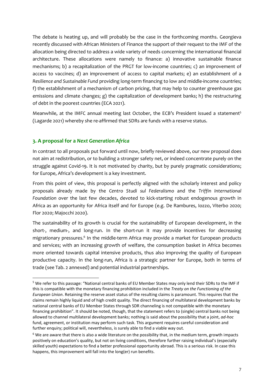The debate is heating up, and will probably be the case in the forthcoming months. Georgieva recently discussed with African Ministers of Finance the support of their request to the IMF of the allocation being directed to address a wide variety of needs concerning the international financial architecture. These allocations were namely to finance: a) innovative sustainable finance mechanisms; b) a recapitalization of the PRGT for low-income countries; c) an improvement of access to vaccines; d) an improvement of access to capital markets; e) an establishment of a *Resilience and Sustainable Fund* providing long-term financing to low and middle-income countries; f) the establishment of a mechanism of carbon pricing, that may help to counter greenhouse gas emissions and climate changes; g) the capitalization of development banks; h) the restructuring of debt in the poorest countries (ECA 2021).

Meanwhile, at the IMFC annual meeting last October, the ECB's President issued a statement<sup>5</sup> (Lagarde 2021) whereby she re-affirmed that SDRs are funds with a reserve status.

#### **3. A proposal for a** *Next Generation Africa*

In contrast to all proposals put forward until now, briefly reviewed above, our new proposal does not aim at redistribution, or to building a stronger safety net, or indeed concentrate purely on the struggle against Covid-19. It is not motivated by charity, but by purely pragmatic considerations; for Europe, Africa's development is a key investment.

From this point of view, this proposal is perfectly aligned with the scholarly interest and policy proposals already made by the *Centro Studi sul Federalismo* and the *Triffin International Foundation* over the last few decades, devoted to kick-starting robust endogenous growth in Africa as an opportunity for Africa itself and for Europe (e.g. De Rambures, Iozzo, Viterbo 2020; Flor 2020; Majocchi 2020).

The sustainability of its growth is crucial for the sustainability of European development, in the short-, medium-, and long-run. In the short-run it may provide incentives for decreasing migrationary pressures.<sup>6</sup> In the middle-term Africa may provide a market for European products and services; with an increasing growth of welfare, the consumption basket in Africa becomes more oriented towards capital intensive products, thus also improving the quality of European productive capacity. In the long-run, Africa is a strategic partner for Europe, both in terms of trade (see Tab. 2 annexed) and potential industrial partnerships.

<sup>5</sup> We refer to this passage: "National central banks of EU Member States may only lend their SDRs to the IMF if this is compatible with the monetary financing prohibition included in the *Treaty on the Functioning of the European Union*. Retaining the reserve asset status of the resulting claims is paramount. This requires that the claims remain highly liquid and of high credit quality. The direct financing of multilateral development banks by national central banks of EU Member States through SDR channeling is not compatible with the monetary financing prohibition". It should be noted, though, that the statement refers to (single) central banks not being allowed to channel multilateral development banks; nothing is said about the possibility that a joint, *ad-hoc* fund, agreement, or institution may perform such task. This argument requires careful consideration and further enquiry; political will, nevertheless, is surely able to find a viable way out.

 $6$  We are aware that there is also a wide literature on the possibility that, in the medium term, growth impacts positively on education's quality, but not on living conditions, therefore further raising individual's (especially skilled youth) expectations to find a better professional opportunity abroad. This is a serious risk. In case this happens, this improvement will fall into the long(er) run benefits.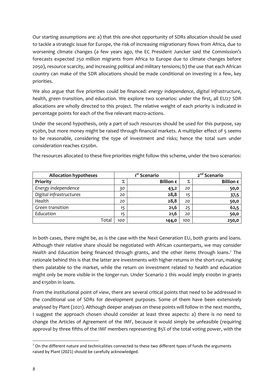Our starting assumptions are: a) that this one-shot opportunity of SDRs allocation should be used to tackle a strategic issue for Europe, the risk of increasing migrationary flows from Africa, due to worsening climate changes (a few years ago, the EC President Juncker said the Commission's forecasts expected 250 million migrants from Africa to Europe due to climate changes before 2050), resource scarcity, and increasing political and military tensions; b) the use that each African country can make of the SDR allocations should be made conditional on investing in a few, key priorities.

We also argue that five priorities could be financed: *energy independence*, *digital infrastructure*, *health*, *green transition*, and *education*. We explore two scenarios: under the first, all EU27 SDR allocations are wholly directed to this project. The relative weight of each priority is indicated in percentage points for each of the five relevant macro-actions.

Under the second hypothesis, only a part of such resources should be used for this purpose, say €50bn, but more money might be raised through financial markets. A multiplier effect of 5 seems to be reasonable, considering the type of investment and risks; hence the total sum under consideration reaches €250bn.

| <b>Allocation hypotheses</b> | 1 <sup>st</sup> Scenario |                    | 2 <sup>nd</sup> Scenario |                    |
|------------------------------|--------------------------|--------------------|--------------------------|--------------------|
| Priority                     | $\%$                     | Billion $\epsilon$ | $\%$                     | Billion $\epsilon$ |
| Energy independence          | 30                       | 43,2               | 20                       | 50,0               |
| Digital infrastructures      | 20                       | 28,8               | 15                       | 37,5               |
| Health                       | 20                       | 28,8               | 20                       | 50,0               |
| Green transition             | 15                       | 21,6               | 25                       | 62,5               |
| Education                    | 15                       | 21,6               | 20                       | 50,0               |
| Total                        | 100                      | 144,0              | 100                      | 250,0              |

The resources allocated to these five priorities might follow this scheme, under the two scenarios:

In both cases, there might be, as is the case with the Next Generation EU, both grants and loans. Although their relative share should be negotiated with African counterparts, we may consider *Health* and *Education* being financed through grants, and the other items through loans. <sup>7</sup> The rationale behind this is that the latter are investments with higher returns in the short-run, making them palatable to the market, while the return on investment related to health and education might only be more visible in the longer-run. Under Scenario 2 this would imply €100bn in grants and €150bn in loans.

From the institutional point of view, there are several critical points that need to be addressed in the conditional use of SDRs for development purposes. Some of them have been extensively analysed by Plant (2021). Although deeper analyses on these points will follow in the next months, I suggest the approach chosen should consider at least three aspects: a) there is no need to change the Articles of Agreement of the IMF, because it would simply be unfeasible (requiring approval by three fifths of the IMF members representing 85% of the total voting power, with the

 $7$  On the different nature and technicalities connected to these two different types of funds the arguments raised by Plant (2021) should be carefully acknowledged.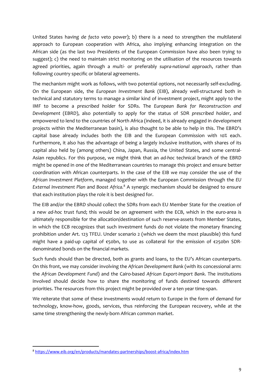United States having *de facto* veto power); b) there is a need to strengthen the multilateral approach to European cooperation with Africa, also implying enhancing integration on the African side (as the last two Presidents of the European Commission have also been trying to suggest); c) the need to maintain strict monitoring on the utilisation of the resources towards agreed priorities, again through a *multi-* or preferably *supra-national approach*, rather than following country specific or bilateral agreements.

The mechanism might work as follows, with two potential options, not necessarily self-excluding. On the European side, the *European Investment Bank* (EIB), already well-structured both in technical and statutory terms to manage a similar kind of investment project, might apply to the IMF to become a *prescribed holder* for SDRs. The *European Bank for Reconstruction and Development* (EBRD), also potentially to apply for the status of SDR *prescribed holder*, and empowered to lend to the countries of North Africa (indeed, it is already engaged in development projects within the Mediterranean basin), is also thought to be able to help in this. The EBRD's capital base already includes both the EIB and the European Commission with 10% each. Furthermore, it also has the advantage of being a largely inclusive institution, with shares of its capital also held by (among others) China, Japan, Russia, the United States, and some central-Asian republics. For this purpose, we might think that an *ad-hoc* technical branch of the EBRD might be opened in one of the Mediterranean countries to manage this project and ensure better coordination with African counterparts. In the case of the EIB we may consider the use of the *African Investment Platform*, managed together with the European Commission through the *EU External Investment Plan* and *Boost Africa.* <sup>8</sup> A synergic mechanism should be designed to ensure that each institution plays the role it is best designed for.

The EIB and/or the EBRD should collect the SDRs from each EU Member State for the creation of a new *ad-hoc* trust fund; this would be on agreement with the ECB, which in the euro-area is ultimately responsible for the allocation/destination of such reserve-assets from Member States, in which the ECB recognizes that such investment funds do not violate the monetary financing prohibition under Art. 123 TFEU. Under scenario 2 (which we deem the most plausible) this fund might have a paid-up capital of €50bn, to use as collateral for the emission of €250bn SDRdenominated bonds on the financial markets.

Such funds should than be directed, both as grants and loans, to the EU's African counterparts. On this front, we may consider involving the *African Development Bank* (with its concessional arm: the *African Development Fund*) and the Cairo-based *African Export-Import Bank*. The institutions involved should decide how to share the monitoring of funds destined towards different priorities. The resources from this project might be provided over a ten year time-span.

We reiterate that some of these investments would return to Europe in the form of demand for technology, know-how, goods, services, thus reinforcing the European recovery, while at the same time strengthening the newly-born African common market.

<sup>8</sup> <https://www.eib.org/en/products/mandates-partnerships/boost-africa/index.htm>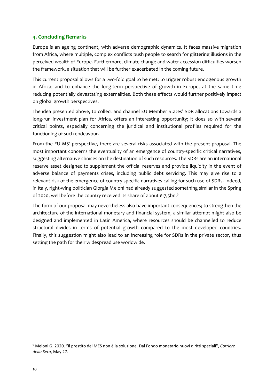#### **4. Concluding Remarks**

Europe is an ageing continent, with adverse demographic dynamics. It faces massive migration from Africa, where multiple, complex conflicts push people to search for glittering illusions in the perceived wealth of Europe. Furthermore, climate change and water accession difficulties worsen the framework, a situation that will be further exacerbated in the coming future.

This current proposal allows for a two-fold goal to be met: to trigger robust endogenous growth in Africa; and to enhance the long-term perspective of growth in Europe, at the same time reducing potentially devastating externalities. Both these effects would further positively impact on global growth perspectives.

The idea presented above, to collect and channel EU Member States' SDR allocations towards a long-run investment plan for Africa, offers an interesting opportunity; it does so with several critical points, especially concerning the juridical and institutional profiles required for the functioning of such endeavour.

From the EU MS' perspective, there are several risks associated with the present proposal. The most important concerns the eventuality of an emergence of country-specific critical narratives, suggesting alternative choices on the destination of such resources. The SDRs are an international reserve asset designed to supplement the official reserves and provide liquidity in the event of adverse balance of payments crises, including public debt servicing. This may give rise to a relevant risk of the emergence of country-specific narratives calling for such use of SDRs. Indeed, in Italy, right-wing politician Giorgia Meloni had already suggested something similar in the Spring of 2020, well before the country received its share of about  $\epsilon$ 17,5bn. $^9$ 

The form of our proposal may nevertheless also have important consequences; to strengthen the architecture of the international monetary and financial system, a similar attempt might also be designed and implemented in Latin America, where resources should be channelled to reduce structural divides in terms of potential growth compared to the most developed countries. Finally, this suggestion might also lead to an increasing role for SDRs in the private sector, thus setting the path for their widespread use worldwide.

<sup>9</sup> Meloni G. 2020. "Il prestito del MES non è la soluzione. Dal Fondo monetario nuovi diritti speciali", *Corriere della Sera*, May 27.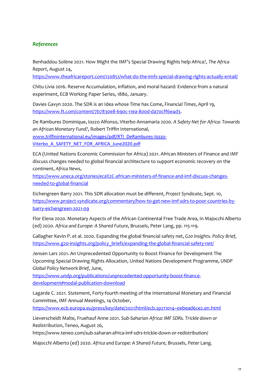### *References*

Benhaddou Solène 2021. How Might the IMF's Special Drawing Rights help Africa?, *The Africa Report*, August 24,

<https://www.theafricareport.com/120851/what-do-the-imfs-special-drawing-rights-actually-entail/>

Chitu Livia 2016. Reserve Accumulation, inflation, and moral hazard: Evidence from a natural experiment, ECB Working Paper Series, 1880, January.

Davies Gavyn 2020. The SDR is an Idea whose Time has Come, *Financial Times*, April 19, [https://www.ft.com/content/7b7830e8-690c-11ea-800d-da70cff6e4d3.](https://www.ft.com/content/7b7830e8-690c-11ea-800d-da70cff6e4d3)

De Rambures Dominique, Iozzo Alfonso, Viterbo Annamaria 2020. *A Safety Net for Africa: Towards an African Monetary Fund?*, Robert Triffin International,

www.[triffininternational.eu/images/pdf/RTI\\_DeRambures-Iozzo-](http://www.triffininternational.eu/images/pdf/RTI_DeRambures-Iozzo-Viterbo_A_SAFETY_NET_FOR_AFRICA_June2020.pdf)[Viterbo\\_A\\_SAFETY\\_NET\\_FOR\\_AFRICA\\_June2020.pdf](http://www.triffininternational.eu/images/pdf/RTI_DeRambures-Iozzo-Viterbo_A_SAFETY_NET_FOR_AFRICA_June2020.pdf)

ECA (United Nations Economic Commission for Africa) 2021. African Ministers of Finance and IMF discuss changes needed to global financial architecture to support economic recovery on the continent, *Africa News*,

[https://www.uneca.org/stories/eca%2C-african-ministers-of-finance-and-imf-discuss-changes](https://www.uneca.org/stories/eca%2C-african-ministers-of-finance-and-imf-discuss-changes-needed-to-global-financial)[needed-to-global-financial](https://www.uneca.org/stories/eca%2C-african-ministers-of-finance-and-imf-discuss-changes-needed-to-global-financial)

Eichengreen Barry 2021. This SDR allocation must be different, *Project Syndicate*, Sept. 10, [https://www.project-syndicate.org/commentary/how-to-get-new-imf-sdrs-to-poor-countries-by](https://www.project-syndicate.org/commentary/how-to-get-new-imf-sdrs-to-poor-countries-by-barry-eichengreen-2021-09)[barry-eichengreen-2021-09](https://www.project-syndicate.org/commentary/how-to-get-new-imf-sdrs-to-poor-countries-by-barry-eichengreen-2021-09)

Flor Elena 2020. Monetary Aspects of the African Continental Free Trade Area, in Majocchi Alberto (ed) 2020. *Africa and Europe: A Shared Future*, Brussels, Peter Lang, pp. 115-119.

Gallagher Kevin P. et al. 2020. Expanding the global financial safety net, *G20 Insights. Policy Brief*, [https://www.g20-insights.org/policy\\_briefs/expanding-the-global-financial-safety-net/](https://www.g20-insights.org/policy_briefs/expanding-the-global-financial-safety-net/)

Jensen Lars 2021. An Unprecedented Opportunity to Boost Finance for Development The Upcoming Special Drawing Rights Allocation, United Nations Development Programme, *UNDP Global Policy Network Brief*, June,

[https://www.undp.org/publications/unprecedented-opportunity-boost-finance](https://www.undp.org/publications/unprecedented-opportunity-boost-finance-development#modal-publication-download)[development#modal-publication-download](https://www.undp.org/publications/unprecedented-opportunity-boost-finance-development#modal-publication-download)

Lagarde C. 2021. *Statement*, Forty-fourth meeting of the International Monetary and Financial Committee, IMF Annual Meetings, 14 October,

<https://www.ecb.europa.eu/press/key/date/2021/html/ecb.sp211014~0ebead6ce2.en.html>

Lieverscheidt Malte, Fruehauf Anne 2021. *Sub-Saharian Africa: IMF SDRs. Trickle down or Redistribution*, Teneo, August 26,

https://www.teneo.com/sub-saharan-africa-imf-sdrs-trickle-down-or-redistribution/

Majocchi Alberto (ed) 2020. *Africa and Europe: A Shared Future*, Brussels, Peter Lang.